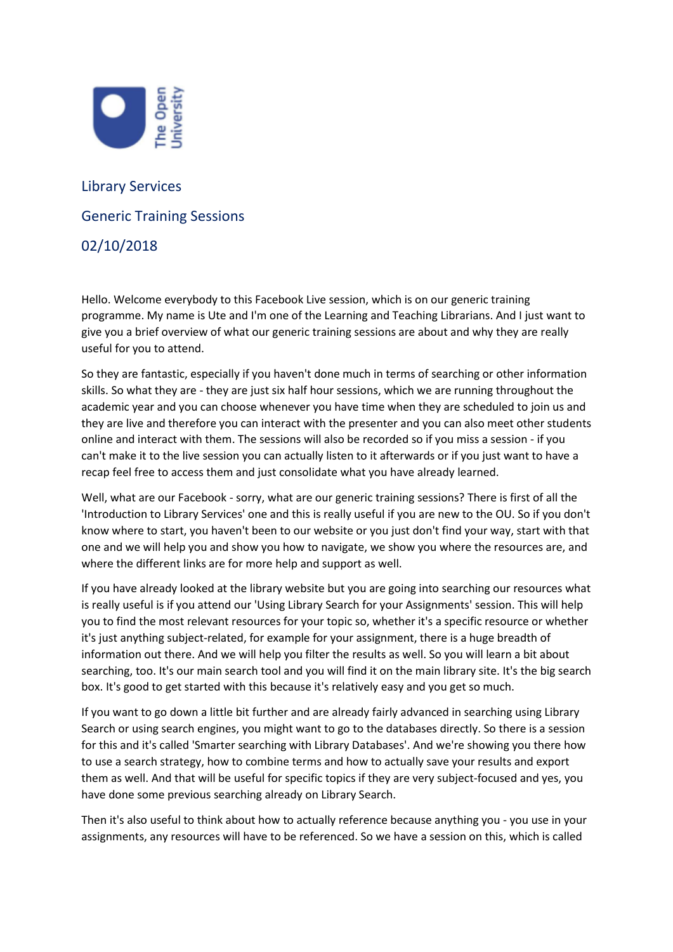

## Library Services Generic Training Sessions 02/10/2018

Hello. Welcome everybody to this Facebook Live session, which is on our generic training programme. My name is Ute and I'm one of the Learning and Teaching Librarians. And I just want to give you a brief overview of what our generic training sessions are about and why they are really useful for you to attend.

So they are fantastic, especially if you haven't done much in terms of searching or other information skills. So what they are - they are just six half hour sessions, which we are running throughout the academic year and you can choose whenever you have time when they are scheduled to join us and they are live and therefore you can interact with the presenter and you can also meet other students online and interact with them. The sessions will also be recorded so if you miss a session - if you can't make it to the live session you can actually listen to it afterwards or if you just want to have a recap feel free to access them and just consolidate what you have already learned.

Well, what are our Facebook - sorry, what are our generic training sessions? There is first of all the 'Introduction to Library Services' one and this is really useful if you are new to the OU. So if you don't know where to start, you haven't been to our website or you just don't find your way, start with that one and we will help you and show you how to navigate, we show you where the resources are, and where the different links are for more help and support as well.

If you have already looked at the library website but you are going into searching our resources what is really useful is if you attend our 'Using Library Search for your Assignments' session. This will help you to find the most relevant resources for your topic so, whether it's a specific resource or whether it's just anything subject-related, for example for your assignment, there is a huge breadth of information out there. And we will help you filter the results as well. So you will learn a bit about searching, too. It's our main search tool and you will find it on the main library site. It's the big search box. It's good to get started with this because it's relatively easy and you get so much.

If you want to go down a little bit further and are already fairly advanced in searching using Library Search or using search engines, you might want to go to the databases directly. So there is a session for this and it's called 'Smarter searching with Library Databases'. And we're showing you there how to use a search strategy, how to combine terms and how to actually save your results and export them as well. And that will be useful for specific topics if they are very subject-focused and yes, you have done some previous searching already on Library Search.

Then it's also useful to think about how to actually reference because anything you - you use in your assignments, any resources will have to be referenced. So we have a session on this, which is called